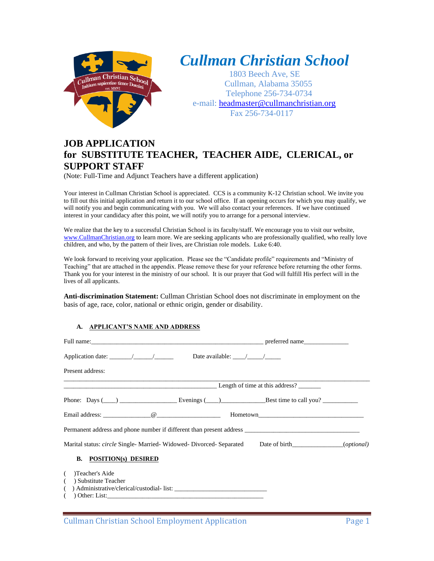

# *Cullman Christian School*

1803 Beech Ave, SE Cullman, Alabama 35055 Telephone 256-734-0734 e-mail: [headmaster@cullmanchristian.org](mailto:headmaster@cullmanchristian.org) Fax 256-734-0117

# **JOB APPLICATION for SUBSTITUTE TEACHER, TEACHER AIDE, CLERICAL, or SUPPORT STAFF**

(Note: Full-Time and Adjunct Teachers have a different application)

Your interest in Cullman Christian School is appreciated. CCS is a community K-12 Christian school. We invite you to fill out this initial application and return it to our school office. If an opening occurs for which you may qualify, we will notify you and begin communicating with you. We will also contact your references. If we have continued interest in your candidacy after this point, we will notify you to arrange for a personal interview.

We realize that the key to a successful Christian School is its faculty/staff. We encourage you to visit our website, [www.CullmanChristian.org](http://www.cullmanchristian.org/) to learn more. We are seeking applicants who are professionally qualified, who really love children, and who, by the pattern of their lives, are Christian role models. Luke 6:40.

We look forward to receiving your application. Please see the "Candidate profile" requirements and "Ministry of Teaching" that are attached in the appendix. Please remove these for your reference before returning the other forms. Thank you for your interest in the ministry of our school. It is our prayer that God will fulfill His perfect will in the lives of all applicants.

**Anti-discrimination Statement:** Cullman Christian School does not discriminate in employment on the basis of age, race, color, national or ethnic origin, gender or disability.

# **A. APPLICANT'S NAME AND ADDRESS**

| Application date: $\angle$ / $\angle$ Date available: / /                                                                                                                                                                      |  |                              |  |
|--------------------------------------------------------------------------------------------------------------------------------------------------------------------------------------------------------------------------------|--|------------------------------|--|
| Present address:                                                                                                                                                                                                               |  |                              |  |
| $\frac{1}{2}$ Length of time at this address?                                                                                                                                                                                  |  |                              |  |
| Phone: Days $(\_\_\_\_\_\_\_\_\_\_\_\$ Evenings $(\_\_\_\_\_\_\_\_\$ Best time to call you? $\_\_\_\_\_\_\_\_\_\_\$                                                                                                            |  |                              |  |
| Email address: and a contract a contract of a contract of a contract of a contract of a contract of a contract of a contract of a contract of a contract of a contract of a contract of a contract of a contract of a contract |  | Hometown <b>Example 2018</b> |  |
| Permanent address and phone number if different than present address _______________________________                                                                                                                           |  |                              |  |
| Marital status: circle Single-Married-Widowed-Divorced-Separated Date of birth__________(optional)                                                                                                                             |  |                              |  |
| <b>B.</b> POSITION(s) DESIRED                                                                                                                                                                                                  |  |                              |  |
| Teacher's Aide                                                                                                                                                                                                                 |  |                              |  |
| ) Substitute Teacher                                                                                                                                                                                                           |  |                              |  |
|                                                                                                                                                                                                                                |  |                              |  |
| ) Other: List:                                                                                                                                                                                                                 |  |                              |  |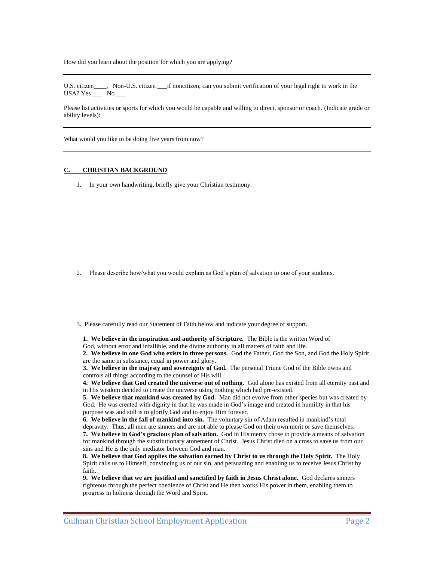How did you learn about the position for which you are applying?

U.S. citizen\_\_\_\_, Non-U.S. citizen \_\_\_if noncitizen, can you submit verification of your legal right to work in the USA? Yes  $\_\_\_\$  No  $\_\_\_\$ 

Please list activities or sports for which you would be capable and willing to direct, sponsor or coach. (Indicate grade or ability levels):

What would you like to be doing five years from now?

#### **CHRISTIAN BACKGROUND**

1. In your *own* handwriting, briefly give your Christian testimony.

2. Please describe how/what you would explain as God's plan of salvation to one of your students.

3. Please carefully read our Statement of Faith below and indicate your degree of support.

**1. We believe in the inspiration and authority of Scripture.** The Bible is the written Word of God, without error and infallible, and the divine authority in all matters of faith and life.

**2. We believe in one God who exists in three persons.** God the Father, God the Son, and God the Holy Spirit are the same in substance, equal in power and glory.

**3. We believe in the majesty and sovereignty of God.** The personal Triune God of the Bible owns and controls all things according to the counsel of His will.

**4. We believe that God created the universe out of nothing.** God alone has existed from all eternity past and in His wisdom decided to create the universe using nothing which had pre-existed.

**5. We believe that mankind was created by God.** Man did not evolve from other species but was created by God. He was created with dignity in that he was made in God's image and created in humility in that his purpose was and still is to glorify God and to enjoy Him forever.

**6. We believe in the fall of mankind into sin.** The voluntary sin of Adam resulted in mankind's total depravity. Thus, all men are sinners and are not able to please God on their own merit or save themselves. **7. We believe in God's gracious plan of salvation.** God in His mercy chose to provide a means of salvation for mankind through the substitutionary atonement of Christ. Jesus Christ died on a cross to save us from our sins and He is the only mediator between God and man.

**8. We believe that God applies the salvation earned by Christ to us through the Holy Spirit.** The Holy Spirit calls us to Himself, convincing us of our sin, and persuading and enabling us to receive Jesus Christ by faith.

**9. We believe that we are justified and sanctified by faith in Jesus Christ alone.** God declares sinners righteous through the perfect obedience of Christ and He then works His power in them, enabling them to progress in holiness through the Word and Spirit.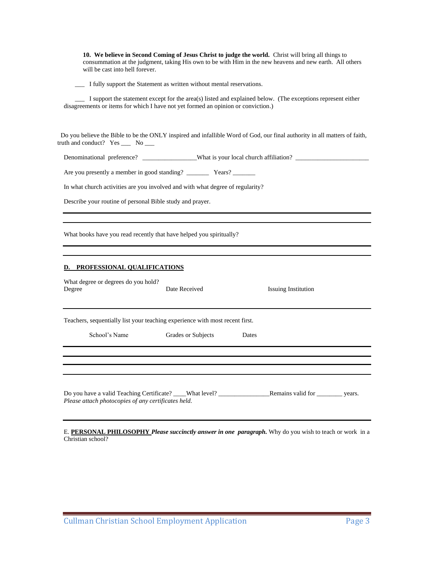**10. We believe in Second Coming of Jesus Christ to judge the world.** Christ will bring all things to consummation at the judgment, taking His own to be with Him in the new heavens and new earth. All others will be cast into hell forever.

\_\_\_ I fully support the Statement as written without mental reservations.

 \_\_\_ I support the statement except for the area(s) listed and explained below. (The exceptions represent either disagreements or items for which I have not yet formed an opinion or conviction.)

 Do you believe the Bible to be the ONLY inspired and infallible Word of God, our final authority in all matters of faith, truth and conduct? Yes \_\_\_ No \_\_

Denominational preference? \_\_\_\_\_\_\_\_\_\_\_\_\_\_\_\_\_What is your local church affiliation? \_\_\_\_\_\_\_\_\_\_\_\_\_\_\_\_\_\_\_\_\_\_\_

Are you presently a member in good standing? \_\_\_\_\_\_\_ Years? \_\_\_\_\_\_\_

In what church activities are you involved and with what degree of regularity?

Describe your routine of personal Bible study and prayer.

What books have you read recently that have helped you spiritually?

#### **D. PROFESSIONAL QUALIFICATIONS**

| What degree or degrees do you hold?<br>Degree                                                                                         | Date Received<br><b>Issuing Institution</b> |       |  |  |
|---------------------------------------------------------------------------------------------------------------------------------------|---------------------------------------------|-------|--|--|
| Teachers, sequentially list your teaching experience with most recent first.                                                          |                                             |       |  |  |
| School's Name                                                                                                                         | Grades or Subjects                          | Dates |  |  |
|                                                                                                                                       |                                             |       |  |  |
|                                                                                                                                       |                                             |       |  |  |
| Do you have a valid Teaching Certificate? What level? Remains valid for years.<br>Please attach photocopies of any certificates held. |                                             |       |  |  |

E. **PERSONAL PHILOSOPHY** *Please succinctly answer in one paragraph.* Why do you wish to teach or work in a Christian school?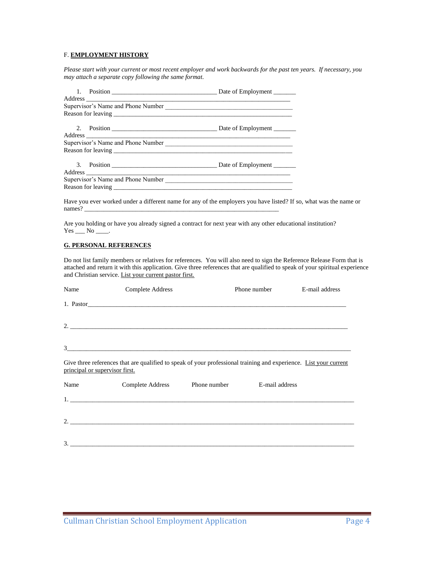### F. **EMPLOYMENT HISTORY**

*Please start with your current or most recent employer and work backwards for the past ten years. If necessary, you may attach a separate copy following the same format.*

Have you ever worked under a different name for any of the employers you have listed? If so, what was the name or names? \_\_\_\_\_\_\_\_\_\_\_\_\_\_\_\_\_\_\_\_\_\_\_\_\_\_\_\_\_\_\_\_\_\_\_\_\_\_\_\_\_\_\_\_\_\_\_\_\_\_\_\_\_\_\_\_\_\_\_\_\_

Are you holding or have you already signed a contract for next year with any other educational institution?  $Yes$  No \_\_\_\_.

#### **G. PERSONAL REFERENCES**

Do not list family members or relatives for references. You will also need to sign the Reference Release Form that is attached and return it with this application. Give three references that are qualified to speak of your spiritual experience and Christian service. List your current pastor first.

| Name                           | Complete Address                                                                                                  |                               | Phone number   | E-mail address |
|--------------------------------|-------------------------------------------------------------------------------------------------------------------|-------------------------------|----------------|----------------|
|                                |                                                                                                                   |                               |                |                |
|                                |                                                                                                                   |                               |                |                |
|                                |                                                                                                                   |                               |                |                |
| principal or supervisor first. | Give three references that are qualified to speak of your professional training and experience. List your current |                               |                |                |
| Name                           |                                                                                                                   | Complete Address Phone number | E-mail address |                |
|                                |                                                                                                                   |                               |                |                |
|                                |                                                                                                                   |                               |                |                |
|                                |                                                                                                                   |                               |                |                |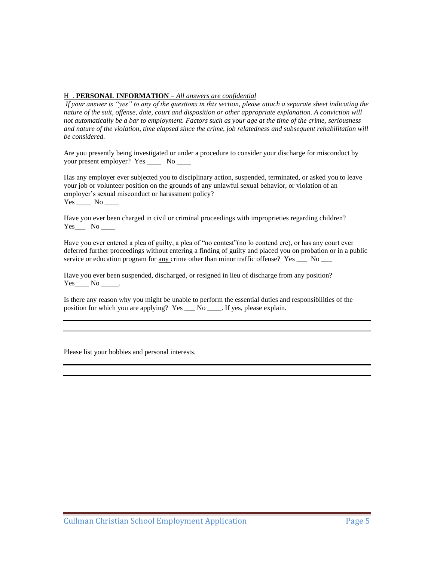### H . **PERSONAL INFORMATION** – *All answers are confidential*

*If your answer is "yes" to any of the questions in this section, please attach a separate sheet indicating the nature of the suit, offense, date, court and disposition or other appropriate explanation. A conviction will not automatically be a bar to employment. Factors such as your age at the time of the crime, seriousness and nature of the violation, time elapsed since the crime, job relatedness and subsequent rehabilitation will be considered.*

Are you presently being investigated or under a procedure to consider your discharge for misconduct by your present employer? Yes \_\_\_\_ No \_\_\_\_

Has any employer ever subjected you to disciplinary action, suspended, terminated, or asked you to leave your job or volunteer position on the grounds of any unlawful sexual behavior, or violation of an employer's sexual misconduct or harassment policy? Yes \_\_\_\_\_\_ No \_\_\_\_\_

Have you ever been charged in civil or criminal proceedings with improprieties regarding children?  $Yes$  No \_\_\_\_\_\_\_

Have you ever entered a plea of guilty, a plea of "no contest"(no lo contend ere), or has any court ever deferred further proceedings without entering a finding of guilty and placed you on probation or in a public service or education program for  $\underline{\text{any}}$  crime other than minor traffic offense? Yes \_\_\_ No \_\_\_

Have you ever been suspended, discharged, or resigned in lieu of discharge from any position?  $Yes$  No \_\_\_\_\_.

Is there any reason why you might be unable to perform the essential duties and responsibilities of the position for which you are applying? Yes \_\_\_ No \_\_\_\_. If yes, please explain.

Please list your hobbies and personal interests.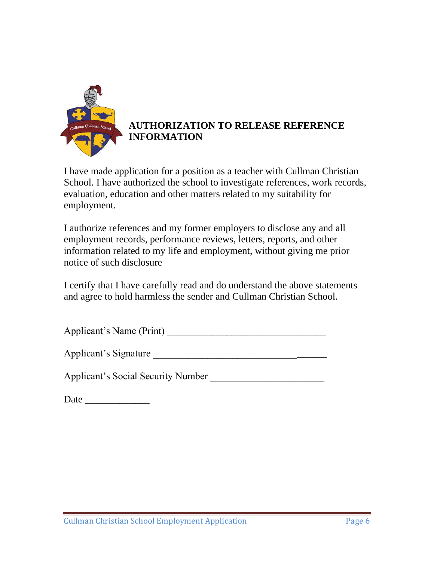

# **AUTHORIZATION TO RELEASE REFERENCE INFORMATION**

I have made application for a position as a teacher with Cullman Christian School. I have authorized the school to investigate references, work records, evaluation, education and other matters related to my suitability for employment.

I authorize references and my former employers to disclose any and all employment records, performance reviews, letters, reports, and other information related to my life and employment, without giving me prior notice of such disclosure

I certify that I have carefully read and do understand the above statements and agree to hold harmless the sender and Cullman Christian School.

| Applicant's Name (Print) |  |
|--------------------------|--|
|--------------------------|--|

Applicant's Signature

Applicant's Social Security Number

| Date |
|------|
|------|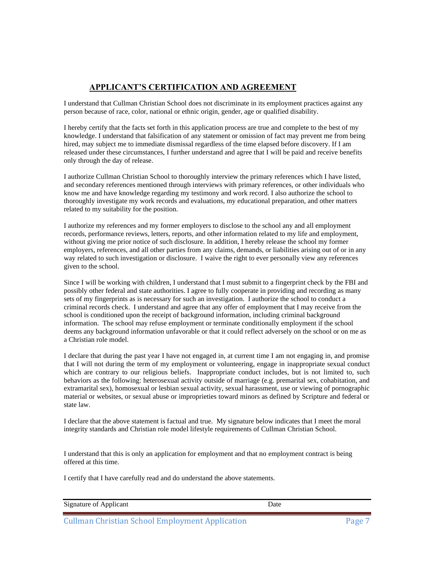# **APPLICANT'S CERTIFICATION AND AGREEMENT**

I understand that Cullman Christian School does not discriminate in its employment practices against any person because of race, color, national or ethnic origin, gender, age or qualified disability.

I hereby certify that the facts set forth in this application process are true and complete to the best of my knowledge. I understand that falsification of any statement or omission of fact may prevent me from being hired, may subject me to immediate dismissal regardless of the time elapsed before discovery. If I am released under these circumstances, I further understand and agree that I will be paid and receive benefits only through the day of release.

I authorize Cullman Christian School to thoroughly interview the primary references which I have listed, and secondary references mentioned through interviews with primary references, or other individuals who know me and have knowledge regarding my testimony and work record. I also authorize the school to thoroughly investigate my work records and evaluations, my educational preparation, and other matters related to my suitability for the position.

I authorize my references and my former employers to disclose to the school any and all employment records, performance reviews, letters, reports, and other information related to my life and employment, without giving me prior notice of such disclosure. In addition, I hereby release the school my former employers, references, and all other parties from any claims, demands, or liabilities arising out of or in any way related to such investigation or disclosure. I waive the right to ever personally view any references given to the school.

Since I will be working with children, I understand that I must submit to a fingerprint check by the FBI and possibly other federal and state authorities. I agree to fully cooperate in providing and recording as many sets of my fingerprints as is necessary for such an investigation. I authorize the school to conduct a criminal records check. I understand and agree that any offer of employment that I may receive from the school is conditioned upon the receipt of background information, including criminal background information. The school may refuse employment or terminate conditionally employment if the school deems any background information unfavorable or that it could reflect adversely on the school or on me as a Christian role model.

I declare that during the past year I have not engaged in, at current time I am not engaging in, and promise that I will not during the term of my employment or volunteering, engage in inappropriate sexual conduct which are contrary to our religious beliefs. Inappropriate conduct includes, but is not limited to, such behaviors as the following: heterosexual activity outside of marriage (e.g. premarital sex, cohabitation, and extramarital sex), homosexual or lesbian sexual activity, sexual harassment, use or viewing of pornographic material or websites, or sexual abuse or improprieties toward minors as defined by Scripture and federal or state law.

I declare that the above statement is factual and true. My signature below indicates that I meet the moral integrity standards and Christian role model lifestyle requirements of Cullman Christian School.

I understand that this is only an application for employment and that no employment contract is being offered at this time.

I certify that I have carefully read and do understand the above statements.

| Jate |  |
|------|--|
|      |  |

Cullman Christian School Employment Application **Page 7** Page 7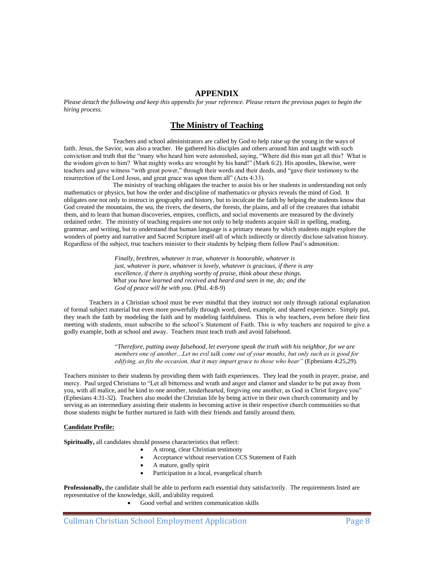# **APPENDIX**

*Please detach the following and keep this appendix for your reference. Please return the previous pages to begin the hiring process.*

# **The Ministry of Teaching**

Teachers and school administrators are called by God to help raise up the young in the ways of faith. Jesus, the Savior, was also a teacher. He gathered his disciples and others around him and taught with such conviction and truth that the "many who heard him were astonished, saying, "Where did this man get all this? What is the wisdom given to him? What mighty works are wrought by his hand!" (Mark 6:2). His apostles, likewise, were teachers and gave witness "with great power," through their words and their deeds, and "gave their testimony to the resurrection of the Lord Jesus, and great grace was upon them all" (Acts 4:33).

The ministry of teaching obligates the teacher to assist his or her students in understanding not only mathematics or physics, but how the order and discipline of mathematics or physics reveals the mind of God. It obligates one not only to instruct in geography and history, but to inculcate the faith by helping the students know that God created the mountains, the sea, the rivers, the deserts, the forests, the plains, and all of the creatures that inhabit them, and to learn that human discoveries, empires, conflicts, and social movements are measured by the divinely ordained order. The ministry of teaching requires one not only to help students acquire skill in spelling, reading, grammar, and writing, but to understand that human language is a primary means by which students might explore the wonders of poetry and narrative and Sacred Scripture itself-all of which indirectly or directly disclose salvation history. Regardless of the subject, true teachers minister to their students by helping them follow Paul's admonition:

> *Finally, brethren, whatever is true, whatever is honorable, whatever is just, whatever is pure, whatever is lovely, whatever is gracious, if there is any excellence, if there is anything worthy of praise, think about these things. What you have learned and received and heard and seen in me, do; and the God of peace will be with you*. (Phil. 4:8-9)

Teachers in a Christian school must be ever mindful that they instruct not only through rational explanation of formal subject material but even more powerfully through word, deed, example, and shared experience. Simply put, they teach the faith by modeling the faith and by modeling faithfulness. This is why teachers, even before their first meeting with students, must subscribe to the school's Statement of Faith. This is why teachers are required to give a godly example, both at school and away. Teachers must teach truth and avoid falsehood.

> "*Therefore, putting away falsehood, let everyone speak the truth with his neighbor, for we are members one of another…Let no evil talk come out of your mouths, but only such as is good for edifying, as fits the occasion, that it may impart grace to those who hear"* (Ephesians 4:25,29).

Teachers minister to their students by providing them with faith experiences. They lead the youth in prayer, praise, and mercy. Paul urged Christians to "Let all bitterness and wrath and anger and clamor and slander to be put away from you, with all malice, and be kind to one another, tenderhearted, forgiving one another, as God in Christ forgave you" (Ephesians 4:31-32). Teachers also model the Christian life by being active in their own church community and by serving as an intermediary assisting their students in becoming active in their respective church communities so that those students might be further nurtured in faith with their friends and family around them.

#### **Candidate Profile:**

**Spiritually,** all candidates should possess characteristics that reflect:

- A strong, clear Christian testimony
- Acceptance without reservation CCS Statement of Faith
- A mature, godly spirit
- Participation in a local, evangelical church

**Professionally,** the candidate shall be able to perform each essential duty satisfactorily. The requirements listed are representative of the knowledge, skill, and/ability required.

• Good verbal and written communication skills